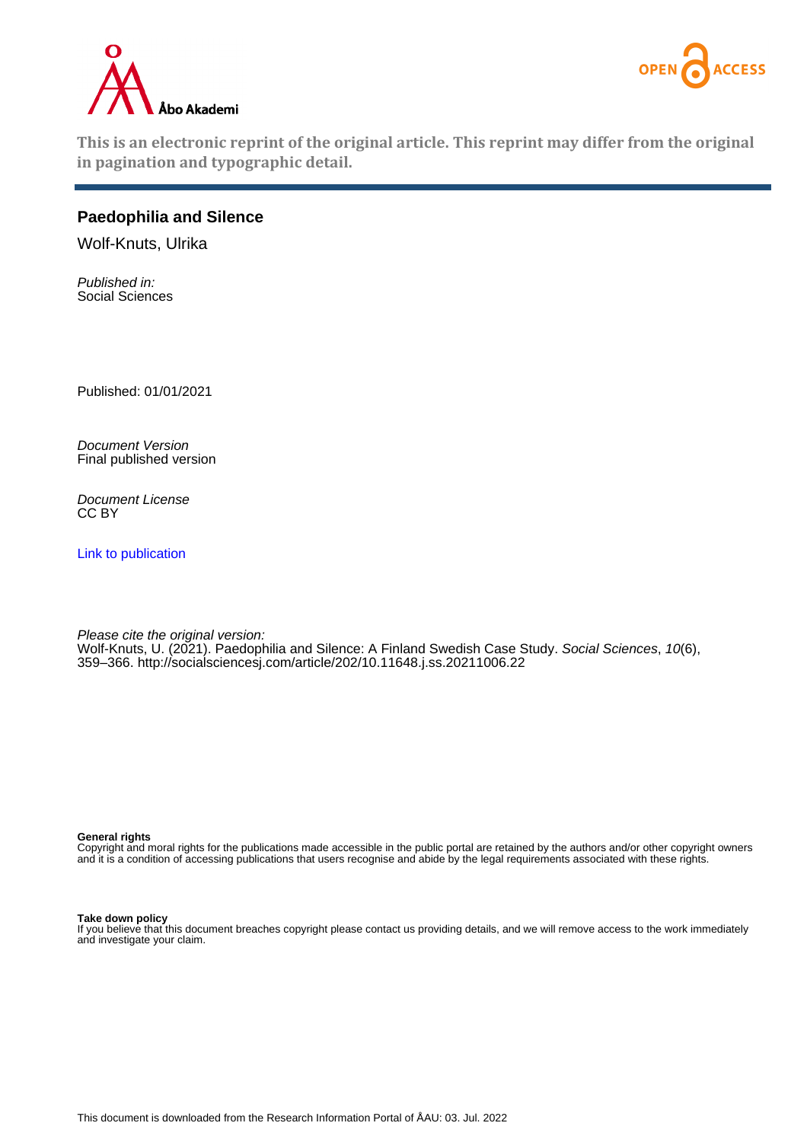



**This is an electronic reprint of the original article. This reprint may differ from the original in pagination and typographic detail.**

# **Paedophilia and Silence**

Wolf-Knuts, Ulrika

Published in: Social Sciences

Published: 01/01/2021

Document Version Final published version

Document License CC BY

[Link to publication](https://research.abo.fi/en/publications/fba9224d-8874-48cb-9abd-490c8fec60e9)

Please cite the original version: Wolf-Knuts, U. (2021). Paedophilia and Silence: A Finland Swedish Case Study. Social Sciences, 10(6), 359–366.<http://socialsciencesj.com/article/202/10.11648.j.ss.20211006.22>

**General rights**

Copyright and moral rights for the publications made accessible in the public portal are retained by the authors and/or other copyright owners and it is a condition of accessing publications that users recognise and abide by the legal requirements associated with these rights.

#### **Take down policy**

If you believe that this document breaches copyright please contact us providing details, and we will remove access to the work immediately and investigate your claim.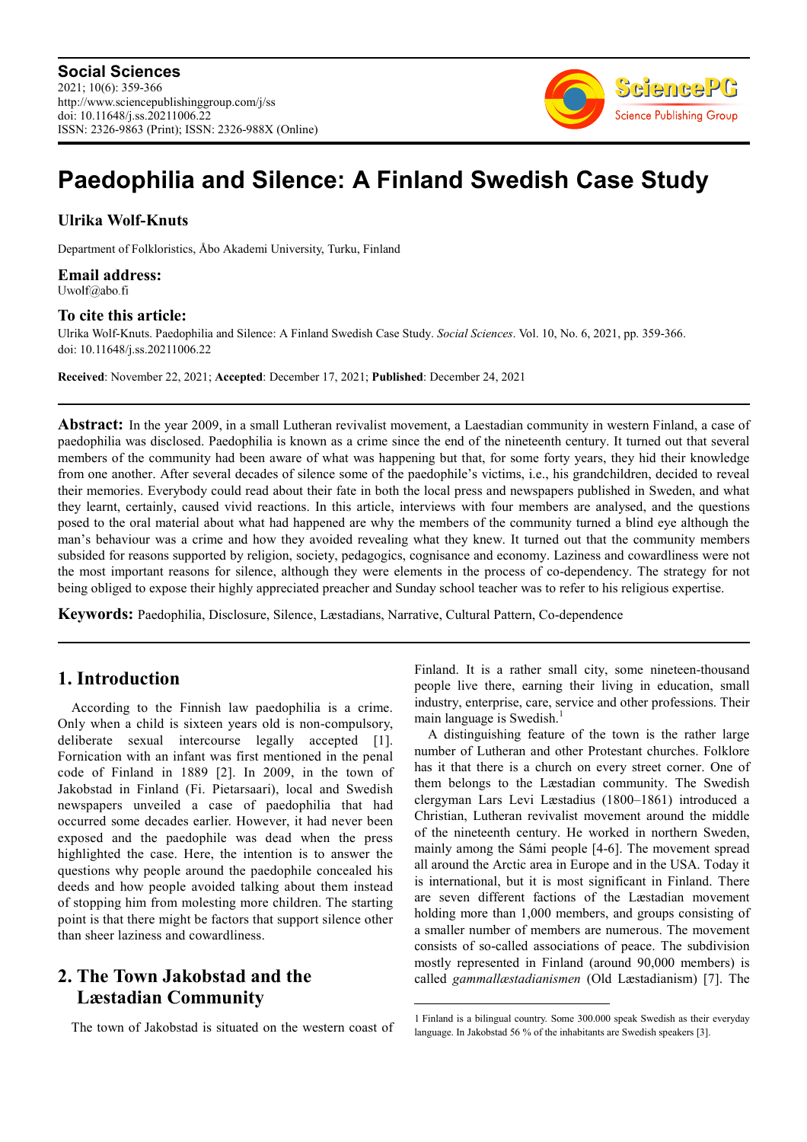

# **Paedophilia and Silence: A Finland Swedish Case Study**

# **Ulrika Wolf-Knuts**

Department of Folkloristics, Åbo Akademi University, Turku, Finland

**Email address:**<br>Uwolf@abo.fi

### **To cite this article:**

Ulrika Wolf-Knuts. Paedophilia and Silence: A Finland Swedish Case Study. *Social Sciences*. Vol. 10, No. 6, 2021, pp. 359-366. doi: 10.11648/j.ss.20211006.22

**Received**: November 22, 2021; **Accepted**: December 17, 2021; **Published**: December 24, 2021

**Abstract:** In the year 2009, in a small Lutheran revivalist movement, a Laestadian community in western Finland, a case of paedophilia was disclosed. Paedophilia is known as a crime since the end of the nineteenth century. It turned out that several members of the community had been aware of what was happening but that, for some forty years, they hid their knowledge from one another. After several decades of silence some of the paedophile's victims, i.e., his grandchildren, decided to reveal their memories. Everybody could read about their fate in both the local press and newspapers published in Sweden, and what they learnt, certainly, caused vivid reactions. In this article, interviews with four members are analysed, and the questions posed to the oral material about what had happened are why the members of the community turned a blind eye although the man's behaviour was a crime and how they avoided revealing what they knew. It turned out that the community members subsided for reasons supported by religion, society, pedagogics, cognisance and economy. Laziness and cowardliness were not the most important reasons for silence, although they were elements in the process of co-dependency. The strategy for not being obliged to expose their highly appreciated preacher and Sunday school teacher was to refer to his religious expertise.

**Keywords:** Paedophilia, Disclosure, Silence, Læstadians, Narrative, Cultural Pattern, Co-dependence

# **1. Introduction**

According to the Finnish law paedophilia is a crime. Only when a child is sixteen years old is non-compulsory, deliberate sexual intercourse legally accepted [1]. Fornication with an infant was first mentioned in the penal code of Finland in 1889 [2]. In 2009, in the town of Jakobstad in Finland (Fi. Pietarsaari), local and Swedish newspapers unveiled a case of paedophilia that had occurred some decades earlier. However, it had never been exposed and the paedophile was dead when the press highlighted the case. Here, the intention is to answer the questions why people around the paedophile concealed his deeds and how people avoided talking about them instead of stopping him from molesting more children. The starting point is that there might be factors that support silence other than sheer laziness and cowardliness.

# **2. The Town Jakobstad and the Læstadian Community**

The town of Jakobstad is situated on the western coast of

Finland. It is a rather small city, some nineteen-thousand people live there, earning their living in education, small industry, enterprise, care, service and other professions. Their main language is Swedish.<sup>1</sup>

A distinguishing feature of the town is the rather large number of Lutheran and other Protestant churches. Folklore has it that there is a church on every street corner. One of them belongs to the Læstadian community. The Swedish clergyman Lars Levi Læstadius (1800–1861) introduced a Christian, Lutheran revivalist movement around the middle of the nineteenth century. He worked in northern Sweden, mainly among the Sámi people [4-6]. The movement spread all around the Arctic area in Europe and in the USA. Today it is international, but it is most significant in Finland. There are seven different factions of the Læstadian movement holding more than 1,000 members, and groups consisting of a smaller number of members are numerous. The movement consists of so-called associations of peace. The subdivision mostly represented in Finland (around 90,000 members) is called *gammallæstadianismen* (Old Læstadianism) [7]. The

<sup>1</sup> Finland is a bilingual country. Some 300.000 speak Swedish as their everyday language. In Jakobstad 56 % of the inhabitants are Swedish speakers [3].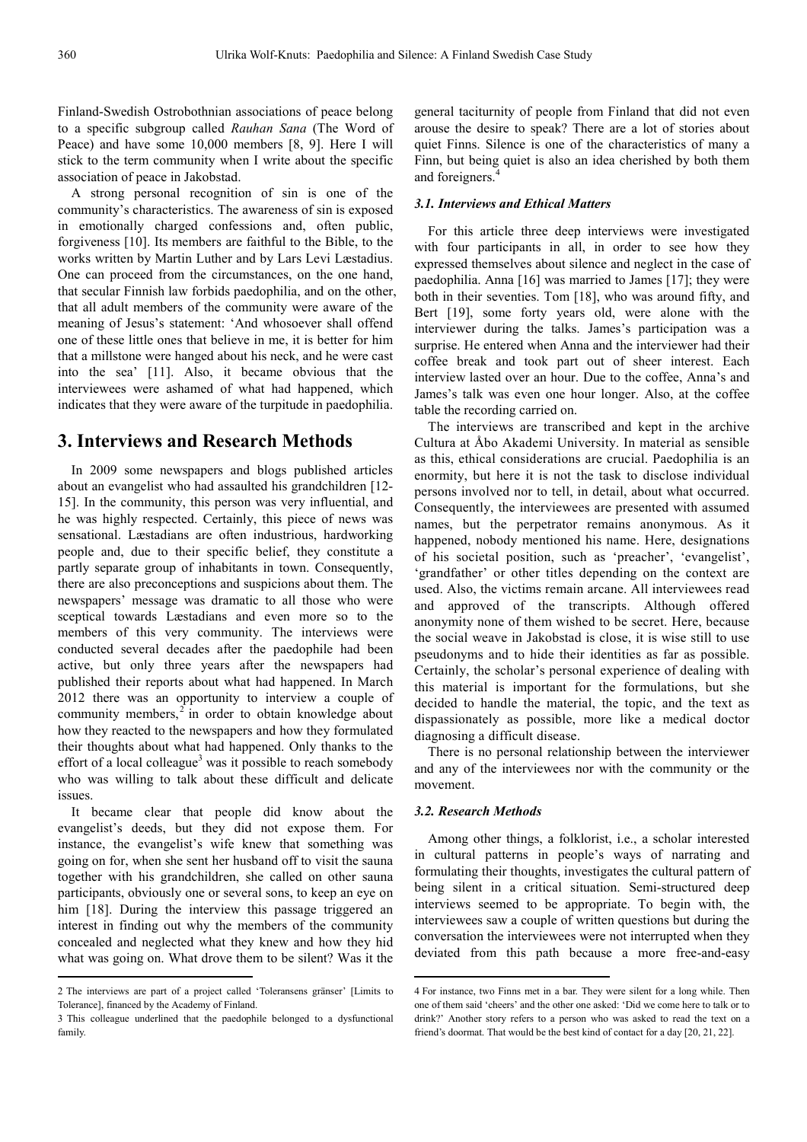Finland-Swedish Ostrobothnian associations of peace belong to a specific subgroup called *Rauhan Sana* (The Word of Peace) and have some 10,000 members [8, 9]. Here I will stick to the term community when I write about the specific association of peace in Jakobstad.

A strong personal recognition of sin is one of the community's characteristics. The awareness of sin is exposed in emotionally charged confessions and, often public, forgiveness [10]. Its members are faithful to the Bible, to the works written by Martin Luther and by Lars Levi Læstadius. One can proceed from the circumstances, on the one hand, that secular Finnish law forbids paedophilia, and on the other, that all adult members of the community were aware of the meaning of Jesus's statement: 'And whosoever shall offend one of these little ones that believe in me, it is better for him that a millstone were hanged about his neck, and he were cast into the sea' [11]. Also, it became obvious that the interviewees were ashamed of what had happened, which indicates that they were aware of the turpitude in paedophilia.

# **3. Interviews and Research Methods**

In 2009 some newspapers and blogs published articles about an evangelist who had assaulted his grandchildren [12- 15]. In the community, this person was very influential, and he was highly respected. Certainly, this piece of news was sensational. Læstadians are often industrious, hardworking people and, due to their specific belief, they constitute a partly separate group of inhabitants in town. Consequently, there are also preconceptions and suspicions about them. The newspapers' message was dramatic to all those who were sceptical towards Læstadians and even more so to the members of this very community. The interviews were conducted several decades after the paedophile had been active, but only three years after the newspapers had published their reports about what had happened. In March 2012 there was an opportunity to interview a couple of community members, $2$  in order to obtain knowledge about how they reacted to the newspapers and how they formulated their thoughts about what had happened. Only thanks to the effort of a local colleague<sup>3</sup> was it possible to reach somebody who was willing to talk about these difficult and delicate issues.

It became clear that people did know about the evangelist's deeds, but they did not expose them. For instance, the evangelist's wife knew that something was going on for, when she sent her husband off to visit the sauna together with his grandchildren, she called on other sauna participants, obviously one or several sons, to keep an eye on him [18]. During the interview this passage triggered an interest in finding out why the members of the community concealed and neglected what they knew and how they hid what was going on. What drove them to be silent? Was it the  $\overline{a}$ 

general taciturnity of people from Finland that did not even arouse the desire to speak? There are a lot of stories about quiet Finns. Silence is one of the characteristics of many a Finn, but being quiet is also an idea cherished by both them and foreigners.

### *3.1. Interviews and Ethical Matters*

For this article three deep interviews were investigated with four participants in all, in order to see how they expressed themselves about silence and neglect in the case of paedophilia. Anna [16] was married to James [17]; they were both in their seventies. Tom [18], who was around fifty, and Bert [19], some forty years old, were alone with the interviewer during the talks. James's participation was a surprise. He entered when Anna and the interviewer had their coffee break and took part out of sheer interest. Each interview lasted over an hour. Due to the coffee, Anna's and James's talk was even one hour longer. Also, at the coffee table the recording carried on.

The interviews are transcribed and kept in the archive Cultura at Åbo Akademi University. In material as sensible as this, ethical considerations are crucial. Paedophilia is an enormity, but here it is not the task to disclose individual persons involved nor to tell, in detail, about what occurred. Consequently, the interviewees are presented with assumed names, but the perpetrator remains anonymous. As it happened, nobody mentioned his name. Here, designations of his societal position, such as 'preacher', 'evangelist', 'grandfather' or other titles depending on the context are used. Also, the victims remain arcane. All interviewees read and approved of the transcripts. Although offered anonymity none of them wished to be secret. Here, because the social weave in Jakobstad is close, it is wise still to use pseudonyms and to hide their identities as far as possible. Certainly, the scholar's personal experience of dealing with this material is important for the formulations, but she decided to handle the material, the topic, and the text as dispassionately as possible, more like a medical doctor diagnosing a difficult disease.

There is no personal relationship between the interviewer and any of the interviewees nor with the community or the movement.

### *3.2. Research Methods*

Among other things, a folklorist, i.e., a scholar interested in cultural patterns in people's ways of narrating and formulating their thoughts, investigates the cultural pattern of being silent in a critical situation. Semi-structured deep interviews seemed to be appropriate. To begin with, the interviewees saw a couple of written questions but during the conversation the interviewees were not interrupted when they deviated from this path because a more free-and-easy

<sup>2</sup> The interviews are part of a project called 'Toleransens gränser' [Limits to Tolerance], financed by the Academy of Finland.

<sup>3</sup> This colleague underlined that the paedophile belonged to a dysfunctional family.

<sup>4</sup> For instance, two Finns met in a bar. They were silent for a long while. Then one of them said 'cheers' and the other one asked: 'Did we come here to talk or to drink?' Another story refers to a person who was asked to read the text on a friend's doormat. That would be the best kind of contact for a day [20, 21, 22].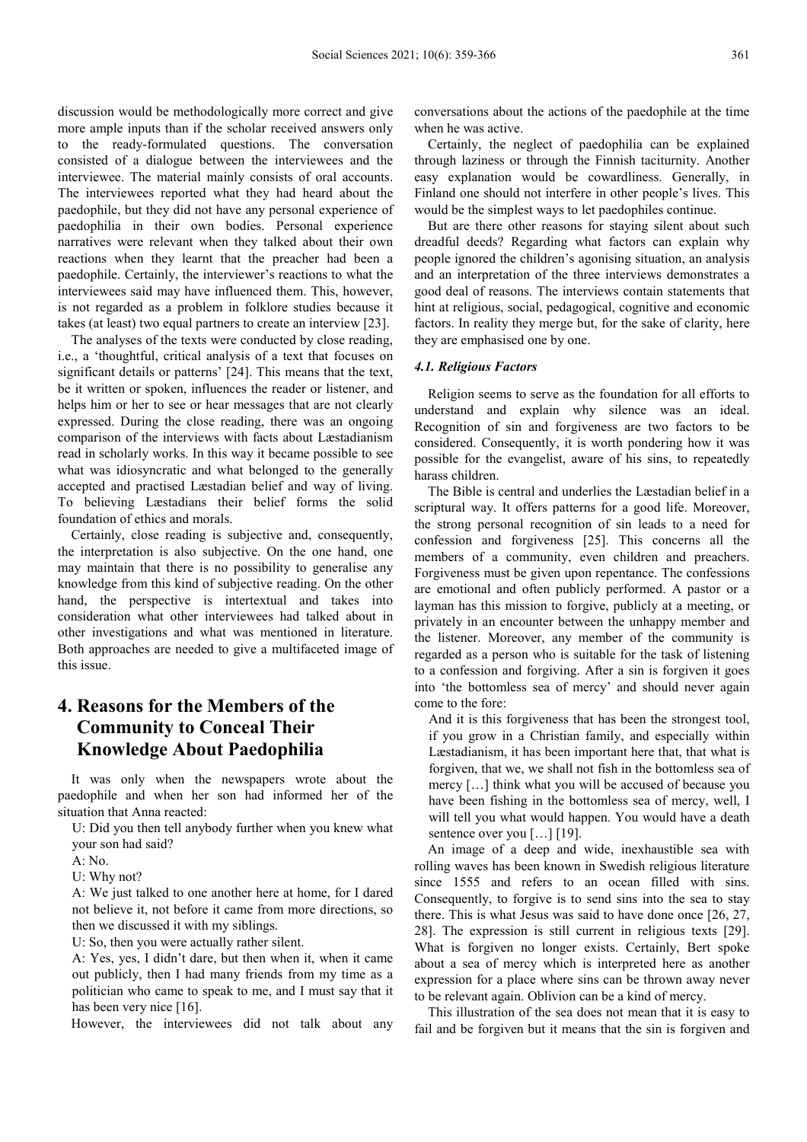discussion would be methodologically more correct and give more ample inputs than if the scholar received answers only to the ready-formulated questions. The conversation consisted of a dialogue between the interviewees and the interviewee. The material mainly consists of oral accounts. The interviewees reported what they had heard about the paedophile, but they did not have any personal experience of paedophilia in their own bodies. Personal experience narratives were relevant when they talked about their own reactions when they learnt that the preacher had been a paedophile. Certainly, the interviewer's reactions to what the interviewees said may have influenced them. This, however, is not regarded as a problem in folklore studies because it takes (at least) two equal partners to create an interview [23].

The analyses of the texts were conducted by close reading, i.e., a 'thoughtful, critical analysis of a text that focuses on significant details or patterns' [24]. This means that the text, be it written or spoken, influences the reader or listener, and helps him or her to see or hear messages that are not clearly expressed. During the close reading, there was an ongoing comparison of the interviews with facts about Læstadianism read in scholarly works. In this way it became possible to see what was idiosyncratic and what belonged to the generally accepted and practised Læstadian belief and way of living. To believing Læstadians their belief forms the solid foundation of ethics and morals.

Certainly, close reading is subjective and, consequently, the interpretation is also subjective. On the one hand, one may maintain that there is no possibility to generalise any knowledge from this kind of subjective reading. On the other hand, the perspective is intertextual and takes into consideration what other interviewees had talked about in other investigations and what was mentioned in literature. Both approaches are needed to give a multifaceted image of this issue.

# **4. Reasons for the Members of the Community to Conceal Their Knowledge About Paedophilia**

It was only when the newspapers wrote about the paedophile and when her son had informed her of the situation that Anna reacted:

U: Did you then tell anybody further when you knew what your son had said?

A: No.

U: Why not?

A: We just talked to one another here at home, for I dared not believe it, not before it came from more directions, so then we discussed it with my siblings.

U: So, then you were actually rather silent.

A: Yes, yes, I didn't dare, but then when it, when it came out publicly, then I had many friends from my time as a politician who came to speak to me, and I must say that it has been very nice [16].

However, the interviewees did not talk about any

conversations about the actions of the paedophile at the time when he was active.

Certainly, the neglect of paedophilia can be explained through laziness or through the Finnish taciturnity. Another easy explanation would be cowardliness. Generally, in Finland one should not interfere in other people's lives. This would be the simplest ways to let paedophiles continue.

But are there other reasons for staying silent about such dreadful deeds? Regarding what factors can explain why people ignored the children's agonising situation, an analysis and an interpretation of the three interviews demonstrates a good deal of reasons. The interviews contain statements that hint at religious, social, pedagogical, cognitive and economic factors. In reality they merge but, for the sake of clarity, here they are emphasised one by one.

#### *4.1. Religious Factors*

Religion seems to serve as the foundation for all efforts to understand and explain why silence was an ideal. Recognition of sin and forgiveness are two factors to be considered. Consequently, it is worth pondering how it was possible for the evangelist, aware of his sins, to repeatedly harass children.

The Bible is central and underlies the Læstadian belief in a scriptural way. It offers patterns for a good life. Moreover, the strong personal recognition of sin leads to a need for confession and forgiveness [25]. This concerns all the members of a community, even children and preachers. Forgiveness must be given upon repentance. The confessions are emotional and often publicly performed. A pastor or a layman has this mission to forgive, publicly at a meeting, or privately in an encounter between the unhappy member and the listener. Moreover, any member of the community is regarded as a person who is suitable for the task of listening to a confession and forgiving. After a sin is forgiven it goes into 'the bottomless sea of mercy' and should never again come to the fore:

And it is this forgiveness that has been the strongest tool, if you grow in a Christian family, and especially within Læstadianism, it has been important here that, that what is forgiven, that we, we shall not fish in the bottomless sea of mercy […] think what you will be accused of because you have been fishing in the bottomless sea of mercy, well, I will tell you what would happen. You would have a death sentence over you [...] [19].

An image of a deep and wide, inexhaustible sea with rolling waves has been known in Swedish religious literature since 1555 and refers to an ocean filled with sins. Consequently, to forgive is to send sins into the sea to stay there. This is what Jesus was said to have done once [26, 27, 28]. The expression is still current in religious texts [29]. What is forgiven no longer exists. Certainly, Bert spoke about a sea of mercy which is interpreted here as another expression for a place where sins can be thrown away never to be relevant again. Oblivion can be a kind of mercy.

This illustration of the sea does not mean that it is easy to fail and be forgiven but it means that the sin is forgiven and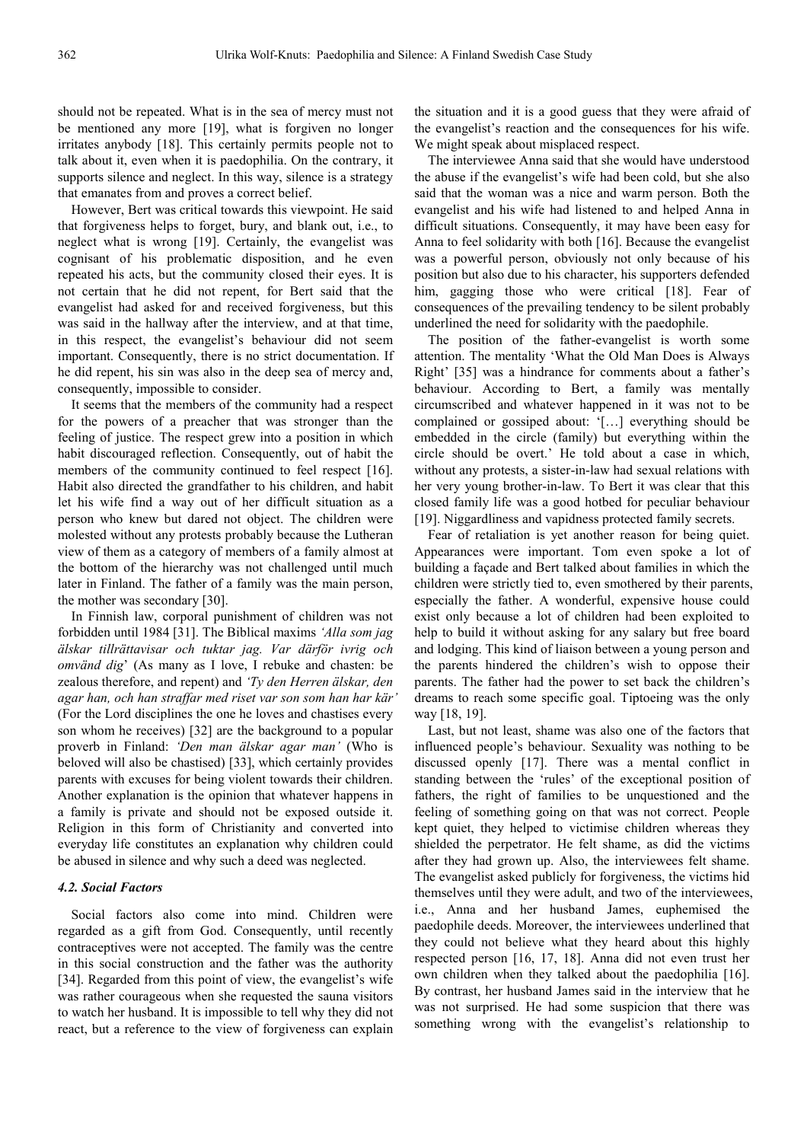should not be repeated. What is in the sea of mercy must not be mentioned any more [19], what is forgiven no longer irritates anybody [18]. This certainly permits people not to talk about it, even when it is paedophilia. On the contrary, it supports silence and neglect. In this way, silence is a strategy that emanates from and proves a correct belief.

However, Bert was critical towards this viewpoint. He said that forgiveness helps to forget, bury, and blank out, i.e., to neglect what is wrong [19]. Certainly, the evangelist was cognisant of his problematic disposition, and he even repeated his acts, but the community closed their eyes. It is not certain that he did not repent, for Bert said that the evangelist had asked for and received forgiveness, but this was said in the hallway after the interview, and at that time, in this respect, the evangelist's behaviour did not seem important. Consequently, there is no strict documentation. If he did repent, his sin was also in the deep sea of mercy and, consequently, impossible to consider.

It seems that the members of the community had a respect for the powers of a preacher that was stronger than the feeling of justice. The respect grew into a position in which habit discouraged reflection. Consequently, out of habit the members of the community continued to feel respect [16]. Habit also directed the grandfather to his children, and habit let his wife find a way out of her difficult situation as a person who knew but dared not object. The children were molested without any protests probably because the Lutheran view of them as a category of members of a family almost at the bottom of the hierarchy was not challenged until much later in Finland. The father of a family was the main person, the mother was secondary [30].

In Finnish law, corporal punishment of children was not forbidden until 1984 [31]. The Biblical maxims *'Alla som jag älskar tillrättavisar och tuktar jag. Var därför ivrig och omvänd dig*' (As many as I love, I rebuke and chasten: be zealous therefore, and repent) and *'Ty den Herren älskar, den agar han, och han straffar med riset var son som han har kär'* (For the Lord disciplines the one he loves and chastises every son whom he receives) [32] are the background to a popular proverb in Finland: *'Den man älskar agar man'* (Who is beloved will also be chastised) [33], which certainly provides parents with excuses for being violent towards their children. Another explanation is the opinion that whatever happens in a family is private and should not be exposed outside it. Religion in this form of Christianity and converted into everyday life constitutes an explanation why children could be abused in silence and why such a deed was neglected.

### *4.2. Social Factors*

Social factors also come into mind. Children were regarded as a gift from God. Consequently, until recently contraceptives were not accepted. The family was the centre in this social construction and the father was the authority [34]. Regarded from this point of view, the evangelist's wife was rather courageous when she requested the sauna visitors to watch her husband. It is impossible to tell why they did not react, but a reference to the view of forgiveness can explain

the situation and it is a good guess that they were afraid of the evangelist's reaction and the consequences for his wife. We might speak about misplaced respect.

The interviewee Anna said that she would have understood the abuse if the evangelist's wife had been cold, but she also said that the woman was a nice and warm person. Both the evangelist and his wife had listened to and helped Anna in difficult situations. Consequently, it may have been easy for Anna to feel solidarity with both [16]. Because the evangelist was a powerful person, obviously not only because of his position but also due to his character, his supporters defended him, gagging those who were critical [18]. Fear of consequences of the prevailing tendency to be silent probably underlined the need for solidarity with the paedophile.

The position of the father-evangelist is worth some attention. The mentality 'What the Old Man Does is Always Right' [35] was a hindrance for comments about a father's behaviour. According to Bert, a family was mentally circumscribed and whatever happened in it was not to be complained or gossiped about: '[…] everything should be embedded in the circle (family) but everything within the circle should be overt.' He told about a case in which, without any protests, a sister-in-law had sexual relations with her very young brother-in-law. To Bert it was clear that this closed family life was a good hotbed for peculiar behaviour [19]. Niggardliness and vapidness protected family secrets.

Fear of retaliation is yet another reason for being quiet. Appearances were important. Tom even spoke a lot of building a façade and Bert talked about families in which the children were strictly tied to, even smothered by their parents, especially the father. A wonderful, expensive house could exist only because a lot of children had been exploited to help to build it without asking for any salary but free board and lodging. This kind of liaison between a young person and the parents hindered the children's wish to oppose their parents. The father had the power to set back the children's dreams to reach some specific goal. Tiptoeing was the only way [18, 19].

Last, but not least, shame was also one of the factors that influenced people's behaviour. Sexuality was nothing to be discussed openly [17]. There was a mental conflict in standing between the 'rules' of the exceptional position of fathers, the right of families to be unquestioned and the feeling of something going on that was not correct. People kept quiet, they helped to victimise children whereas they shielded the perpetrator. He felt shame, as did the victims after they had grown up. Also, the interviewees felt shame. The evangelist asked publicly for forgiveness, the victims hid themselves until they were adult, and two of the interviewees, i.e., Anna and her husband James, euphemised the paedophile deeds. Moreover, the interviewees underlined that they could not believe what they heard about this highly respected person [16, 17, 18]. Anna did not even trust her own children when they talked about the paedophilia [16]. By contrast, her husband James said in the interview that he was not surprised. He had some suspicion that there was something wrong with the evangelist's relationship to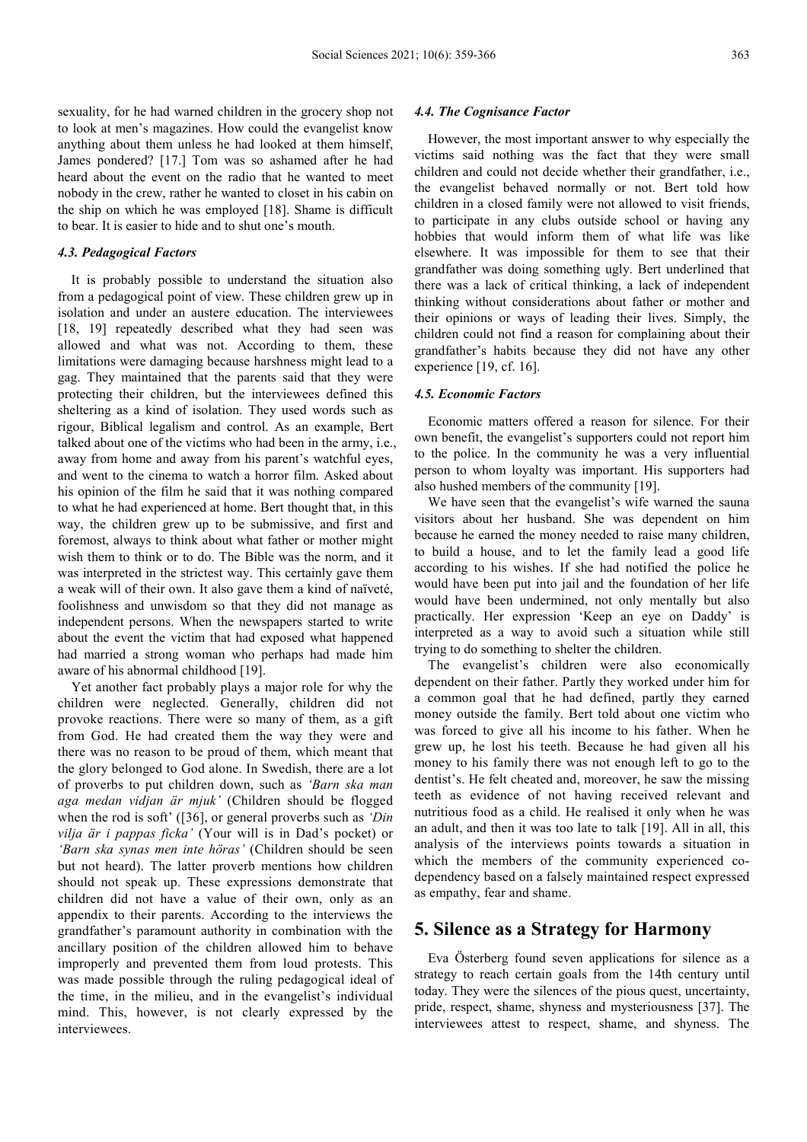sexuality, for he had warned children in the grocery shop not to look at men's magazines. How could the evangelist know anything about them unless he had looked at them himself, James pondered? [17.] Tom was so ashamed after he had heard about the event on the radio that he wanted to meet nobody in the crew, rather he wanted to closet in his cabin on the ship on which he was employed [18]. Shame is difficult to bear. It is easier to hide and to shut one's mouth.

#### *4.3. Pedagogical Factors*

It is probably possible to understand the situation also from a pedagogical point of view. These children grew up in isolation and under an austere education. The interviewees [18, 19] repeatedly described what they had seen was allowed and what was not. According to them, these limitations were damaging because harshness might lead to a gag. They maintained that the parents said that they were protecting their children, but the interviewees defined this sheltering as a kind of isolation. They used words such as rigour, Biblical legalism and control. As an example, Bert talked about one of the victims who had been in the army, i.e., away from home and away from his parent's watchful eyes, and went to the cinema to watch a horror film. Asked about his opinion of the film he said that it was nothing compared to what he had experienced at home. Bert thought that, in this way, the children grew up to be submissive, and first and foremost, always to think about what father or mother might wish them to think or to do. The Bible was the norm, and it was interpreted in the strictest way. This certainly gave them a weak will of their own. It also gave them a kind of naïveté, foolishness and unwisdom so that they did not manage as independent persons. When the newspapers started to write about the event the victim that had exposed what happened had married a strong woman who perhaps had made him aware of his abnormal childhood [19].

Yet another fact probably plays a major role for why the children were neglected. Generally, children did not provoke reactions. There were so many of them, as a gift from God. He had created them the way they were and there was no reason to be proud of them, which meant that the glory belonged to God alone. In Swedish, there are a lot of proverbs to put children down, such as *'Barn ska man aga medan vidjan är mjuk'* (Children should be flogged when the rod is soft' ([36], or general proverbs such as *'Din vilja är i pappas ficka'* (Your will is in Dad's pocket) or *'Barn ska synas men inte höras'* (Children should be seen but not heard). The latter proverb mentions how children should not speak up. These expressions demonstrate that children did not have a value of their own, only as an appendix to their parents. According to the interviews the grandfather's paramount authority in combination with the ancillary position of the children allowed him to behave improperly and prevented them from loud protests. This was made possible through the ruling pedagogical ideal of the time, in the milieu, and in the evangelist's individual mind. This, however, is not clearly expressed by the interviewees.

### *4.4. The Cognisance Factor*

However, the most important answer to why especially the victims said nothing was the fact that they were small children and could not decide whether their grandfather, i.e., the evangelist behaved normally or not. Bert told how children in a closed family were not allowed to visit friends, to participate in any clubs outside school or having any hobbies that would inform them of what life was like elsewhere. It was impossible for them to see that their grandfather was doing something ugly. Bert underlined that there was a lack of critical thinking, a lack of independent thinking without considerations about father or mother and their opinions or ways of leading their lives. Simply, the children could not find a reason for complaining about their grandfather's habits because they did not have any other experience [19, cf. 16].

### *4.5. Economic Factors*

Economic matters offered a reason for silence. For their own benefit, the evangelist's supporters could not report him to the police. In the community he was a very influential person to whom loyalty was important. His supporters had also hushed members of the community [19].

We have seen that the evangelist's wife warned the sauna visitors about her husband. She was dependent on him because he earned the money needed to raise many children, to build a house, and to let the family lead a good life according to his wishes. If she had notified the police he would have been put into jail and the foundation of her life would have been undermined, not only mentally but also practically. Her expression 'Keep an eye on Daddy' is interpreted as a way to avoid such a situation while still trying to do something to shelter the children.

The evangelist's children were also economically dependent on their father. Partly they worked under him for a common goal that he had defined, partly they earned money outside the family. Bert told about one victim who was forced to give all his income to his father. When he grew up, he lost his teeth. Because he had given all his money to his family there was not enough left to go to the dentist's. He felt cheated and, moreover, he saw the missing teeth as evidence of not having received relevant and nutritious food as a child. He realised it only when he was an adult, and then it was too late to talk [19]. All in all, this analysis of the interviews points towards a situation in which the members of the community experienced codependency based on a falsely maintained respect expressed as empathy, fear and shame.

### **5. Silence as a Strategy for Harmony**

Eva Österberg found seven applications for silence as a strategy to reach certain goals from the 14th century until today. They were the silences of the pious quest, uncertainty, pride, respect, shame, shyness and mysteriousness [37]. The interviewees attest to respect, shame, and shyness. The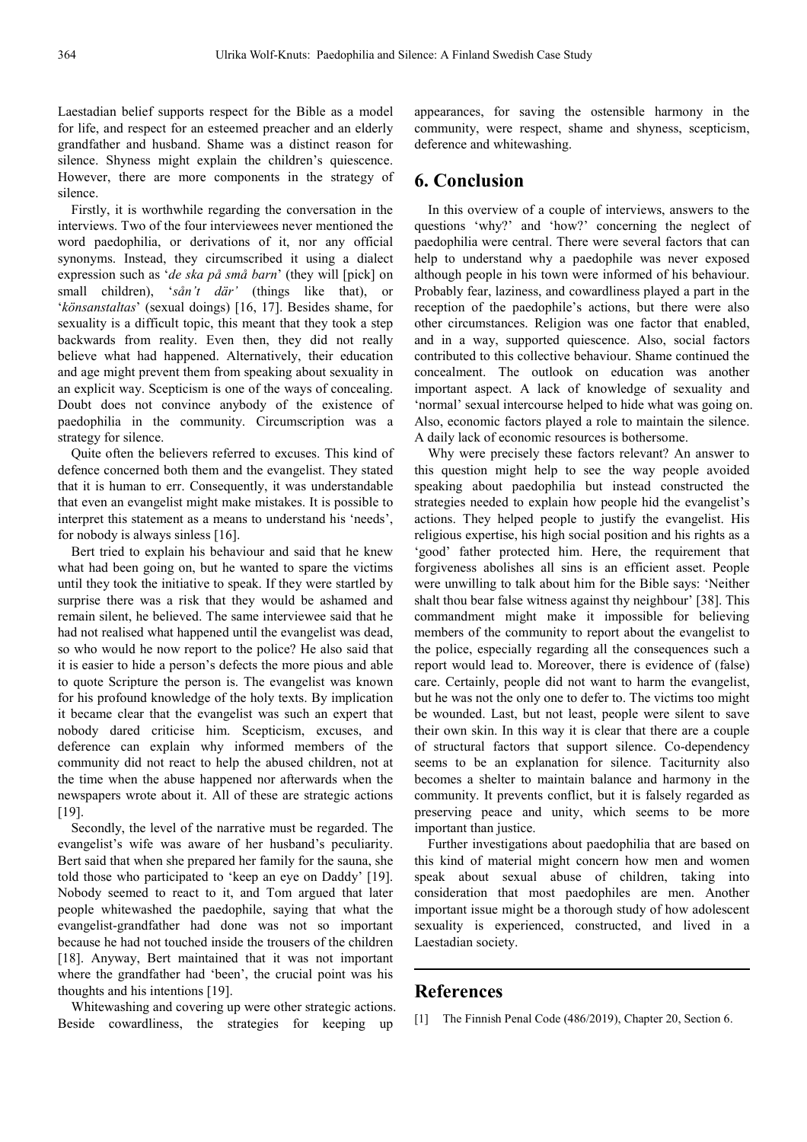Laestadian belief supports respect for the Bible as a model for life, and respect for an esteemed preacher and an elderly grandfather and husband. Shame was a distinct reason for silence. Shyness might explain the children's quiescence. However, there are more components in the strategy of silence.

Firstly, it is worthwhile regarding the conversation in the interviews. Two of the four interviewees never mentioned the word paedophilia, or derivations of it, nor any official synonyms. Instead, they circumscribed it using a dialect expression such as '*de ska på små barn*' (they will [pick] on small children), '*sån't där'* (things like that), or '*könsanstaltas*' (sexual doings) [16, 17]. Besides shame, for sexuality is a difficult topic, this meant that they took a step backwards from reality. Even then, they did not really believe what had happened. Alternatively, their education and age might prevent them from speaking about sexuality in an explicit way. Scepticism is one of the ways of concealing. Doubt does not convince anybody of the existence of paedophilia in the community. Circumscription was a strategy for silence.

Quite often the believers referred to excuses. This kind of defence concerned both them and the evangelist. They stated that it is human to err. Consequently, it was understandable that even an evangelist might make mistakes. It is possible to interpret this statement as a means to understand his 'needs', for nobody is always sinless [16].

Bert tried to explain his behaviour and said that he knew what had been going on, but he wanted to spare the victims until they took the initiative to speak. If they were startled by surprise there was a risk that they would be ashamed and remain silent, he believed. The same interviewee said that he had not realised what happened until the evangelist was dead, so who would he now report to the police? He also said that it is easier to hide a person's defects the more pious and able to quote Scripture the person is. The evangelist was known for his profound knowledge of the holy texts. By implication it became clear that the evangelist was such an expert that nobody dared criticise him. Scepticism, excuses, and deference can explain why informed members of the community did not react to help the abused children, not at the time when the abuse happened nor afterwards when the newspapers wrote about it. All of these are strategic actions [19].

Secondly, the level of the narrative must be regarded. The evangelist's wife was aware of her husband's peculiarity. Bert said that when she prepared her family for the sauna, she told those who participated to 'keep an eye on Daddy' [19]. Nobody seemed to react to it, and Tom argued that later people whitewashed the paedophile, saying that what the evangelist-grandfather had done was not so important because he had not touched inside the trousers of the children [18]. Anyway, Bert maintained that it was not important where the grandfather had 'been', the crucial point was his thoughts and his intentions [19].

Whitewashing and covering up were other strategic actions. Beside cowardliness, the strategies for keeping up

appearances, for saving the ostensible harmony in the community, were respect, shame and shyness, scepticism, deference and whitewashing.

# **6. Conclusion**

In this overview of a couple of interviews, answers to the questions 'why?' and 'how?' concerning the neglect of paedophilia were central. There were several factors that can help to understand why a paedophile was never exposed although people in his town were informed of his behaviour. Probably fear, laziness, and cowardliness played a part in the reception of the paedophile's actions, but there were also other circumstances. Religion was one factor that enabled, and in a way, supported quiescence. Also, social factors contributed to this collective behaviour. Shame continued the concealment. The outlook on education was another important aspect. A lack of knowledge of sexuality and 'normal' sexual intercourse helped to hide what was going on. Also, economic factors played a role to maintain the silence. A daily lack of economic resources is bothersome.

Why were precisely these factors relevant? An answer to this question might help to see the way people avoided speaking about paedophilia but instead constructed the strategies needed to explain how people hid the evangelist's actions. They helped people to justify the evangelist. His religious expertise, his high social position and his rights as a 'good' father protected him. Here, the requirement that forgiveness abolishes all sins is an efficient asset. People were unwilling to talk about him for the Bible says: 'Neither shalt thou bear false witness against thy neighbour' [38]. This commandment might make it impossible for believing members of the community to report about the evangelist to the police, especially regarding all the consequences such a report would lead to. Moreover, there is evidence of (false) care. Certainly, people did not want to harm the evangelist, but he was not the only one to defer to. The victims too might be wounded. Last, but not least, people were silent to save their own skin. In this way it is clear that there are a couple of structural factors that support silence. Co-dependency seems to be an explanation for silence. Taciturnity also becomes a shelter to maintain balance and harmony in the community. It prevents conflict, but it is falsely regarded as preserving peace and unity, which seems to be more important than justice.

Further investigations about paedophilia that are based on this kind of material might concern how men and women speak about sexual abuse of children, taking into consideration that most paedophiles are men. Another important issue might be a thorough study of how adolescent sexuality is experienced, constructed, and lived in a Laestadian society.

## **References**

[1] The Finnish Penal Code (486/2019), Chapter 20, Section 6.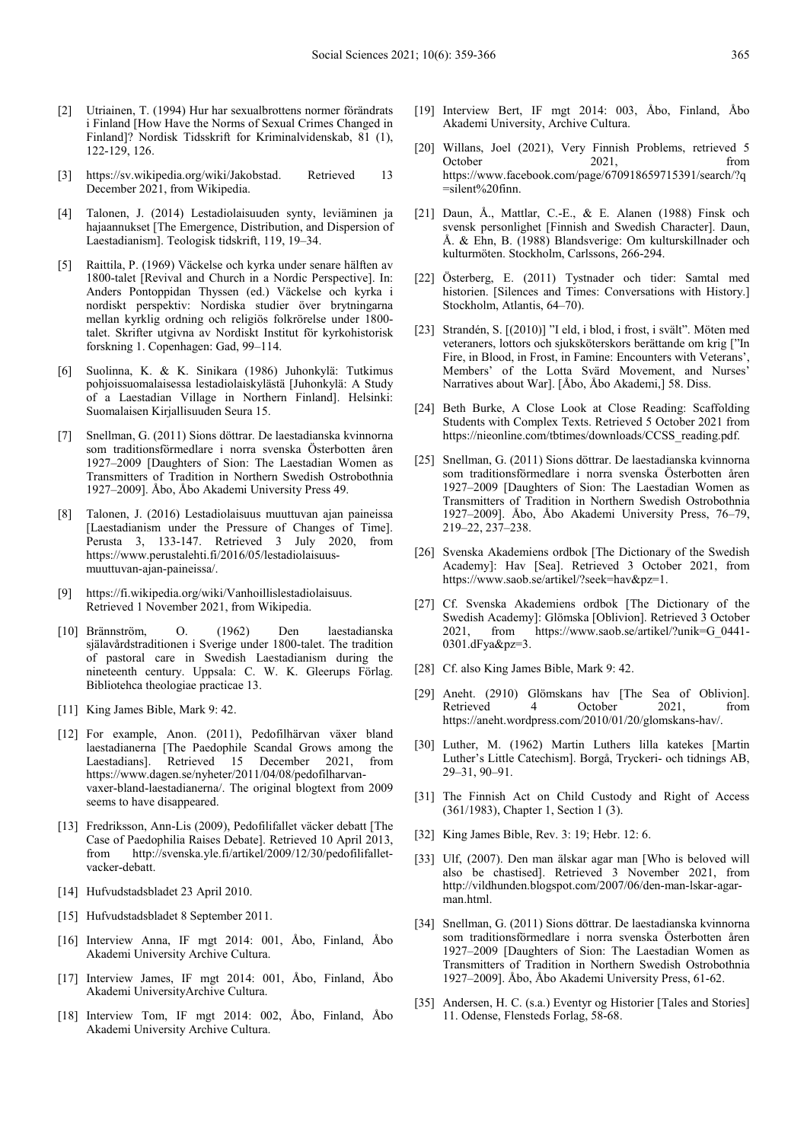- [2] Utriainen, T. (1994) Hur har sexualbrottens normer förändrats i Finland [How Have the Norms of Sexual Crimes Changed in Finland]? Nordisk Tidsskrift for Kriminalvidenskab, 81 (1), 122-129, 126.
- [3] https://sv.wikipedia.org/wiki/Jakobstad. Retrieved 13 December 2021, from Wikipedia.
- [4] Talonen, J. (2014) Lestadiolaisuuden synty, leviäminen ja hajaannukset [The Emergence, Distribution, and Dispersion of Laestadianism]. Teologisk tidskrift, 119, 19–34.
- [5] Raittila, P. (1969) Väckelse och kyrka under senare hälften av 1800-talet [Revival and Church in a Nordic Perspective]. In: Anders Pontoppidan Thyssen (ed.) Väckelse och kyrka i nordiskt perspektiv: Nordiska studier över brytningarna mellan kyrklig ordning och religiös folkrörelse under 1800 talet. Skrifter utgivna av Nordiskt Institut för kyrkohistorisk forskning 1. Copenhagen: Gad, 99–114.
- [6] Suolinna, K. & K. Sinikara (1986) Juhonkylä: Tutkimus pohjoissuomalaisessa lestadiolaiskylästä [Juhonkylä: A Study of a Laestadian Village in Northern Finland]. Helsinki: Suomalaisen Kirjallisuuden Seura 15.
- [7] Snellman, G. (2011) Sions döttrar. De laestadianska kvinnorna som traditionsförmedlare i norra svenska Österbotten åren 1927–2009 [Daughters of Sion: The Laestadian Women as Transmitters of Tradition in Northern Swedish Ostrobothnia 1927–2009]. Åbo, Åbo Akademi University Press 49.
- [8] Talonen, J. (2016) Lestadiolaisuus muuttuvan ajan paineissa [Laestadianism under the Pressure of Changes of Time]. Perusta 3, 133-147. Retrieved 3 July 2020, from https://www.perustalehti.fi/2016/05/lestadiolaisuusmuuttuvan-ajan-paineissa/.
- [9] https://fi.wikipedia.org/wiki/Vanhoillislestadiolaisuus. Retrieved 1 November 2021, from Wikipedia.
- [10] Brännström, O. (1962) Den laestadianska själavårdstraditionen i Sverige under 1800-talet. The tradition of pastoral care in Swedish Laestadianism during the nineteenth century. Uppsala: C. W. K. Gleerups Förlag. Bibliotehca theologiae practicae 13.
- [11] King James Bible, Mark 9: 42.
- [12] For example, Anon. (2011), Pedofilhärvan växer bland laestadianerna [The Paedophile Scandal Grows among the Laestadians]. Retrieved 15 December 2021, from https://www.dagen.se/nyheter/2011/04/08/pedofilharvanvaxer-bland-laestadianerna/. The original blogtext from 2009 seems to have disappeared.
- [13] Fredriksson, Ann-Lis (2009), Pedofilifallet väcker debatt [The Case of Paedophilia Raises Debate]. Retrieved 10 April 2013, http://svenska.yle.fi/artikel/2009/12/30/pedofilifalletvacker-debatt.
- [14] Hufvudstadsbladet 23 April 2010.
- [15] Hufvudstadsbladet 8 September 2011.
- [16] Interview Anna, IF mgt 2014: 001, Åbo, Finland, Åbo Akademi University Archive Cultura.
- [17] Interview James, IF mgt 2014: 001, Åbo, Finland, Åbo Akademi UniversityArchive Cultura.
- [18] Interview Tom, IF mgt 2014: 002, Åbo, Finland, Åbo Akademi University Archive Cultura.
- [19] Interview Bert, IF mgt 2014: 003, Åbo, Finland, Åbo Akademi University, Archive Cultura.
- [20] Willans, Joel (2021), Very Finnish Problems, retrieved 5 October 2021, from https://www.facebook.com/page/670918659715391/search/?q =silent%20finn.
- [21] Daun, Å., Mattlar, C.-E., & E. Alanen (1988) Finsk och svensk personlighet [Finnish and Swedish Character]. Daun, Å. & Ehn, B. (1988) Blandsverige: Om kulturskillnader och kulturmöten. Stockholm, Carlssons, 266-294.
- [22] Österberg, E. (2011) Tystnader och tider: Samtal med historien. [Silences and Times: Conversations with History.] Stockholm, Atlantis, 64–70).
- [23] Strandén, S. [(2010)] "I eld, i blod, i frost, i svält". Möten med veteraners, lottors och sjuksköterskors berättande om krig ["In Fire, in Blood, in Frost, in Famine: Encounters with Veterans', Members' of the Lotta Svärd Movement, and Nurses' Narratives about War]. [Åbo, Åbo Akademi,] 58. Diss.
- [24] Beth Burke, A Close Look at Close Reading: Scaffolding Students with Complex Texts. Retrieved 5 October 2021 from https://nieonline.com/tbtimes/downloads/CCSS\_reading.pdf.
- [25] Snellman, G. (2011) Sions döttrar. De laestadianska kvinnorna som traditionsförmedlare i norra svenska Österbotten åren 1927–2009 [Daughters of Sion: The Laestadian Women as Transmitters of Tradition in Northern Swedish Ostrobothnia 1927–2009]. Åbo, Åbo Akademi University Press, 76–79, 219–22, 237–238.
- [26] Svenska Akademiens ordbok [The Dictionary of the Swedish] Academy]: Hav [Sea]. Retrieved 3 October 2021, from https://www.saob.se/artikel/?seek=hav&pz=1.
- [27] Cf. Svenska Akademiens ordbok [The Dictionary of the Swedish Academy]: Glömska [Oblivion]. Retrieved 3 October 2021, from https://www.saob.se/artikel/?unik=G\_0441- 0301.dFya&pz=3.
- [28] Cf. also King James Bible, Mark 9: 42.
- [29] Aneht. (2910) Glömskans hav [The Sea of Oblivion]. Retrieved 4 October 2021, from https://aneht.wordpress.com/2010/01/20/glomskans-hav/.
- [30] Luther, M. (1962) Martin Luthers lilla katekes [Martin Luther's Little Catechism]. Borgå, Tryckeri- och tidnings AB, 29–31, 90–91.
- [31] The Finnish Act on Child Custody and Right of Access (361/1983), Chapter 1, Section 1 (3).
- [32] King James Bible, Rev. 3: 19; Hebr. 12: 6.
- [33] Ulf, (2007). Den man älskar agar man [Who is beloved will also be chastised]. Retrieved 3 November 2021, from http://vildhunden.blogspot.com/2007/06/den-man-lskar-agarman.html.
- [34] Snellman, G. (2011) Sions döttrar. De laestadianska kvinnorna som traditionsförmedlare i norra svenska Österbotten åren 1927–2009 [Daughters of Sion: The Laestadian Women as Transmitters of Tradition in Northern Swedish Ostrobothnia 1927–2009]. Åbo, Åbo Akademi University Press, 61-62.
- [35] Andersen, H. C. (s.a.) Eventyr og Historier [Tales and Stories] 11. Odense, Flensteds Forlag, 58-68.